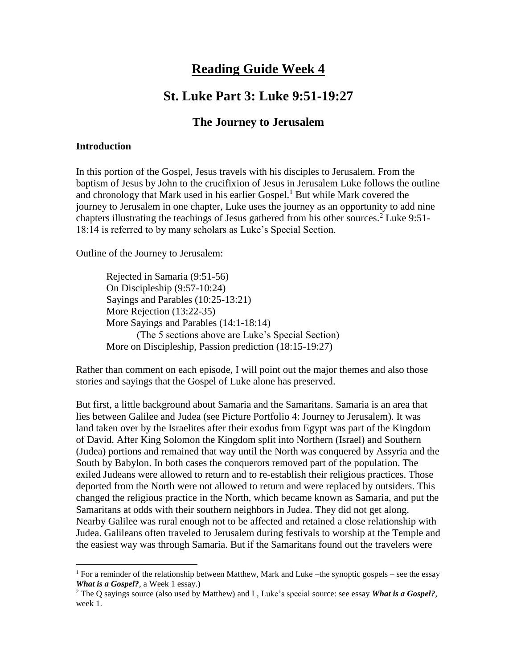# **Reading Guide Week 4**

# **St. Luke Part 3: Luke 9:51-19:27**

# **The Journey to Jerusalem**

#### **Introduction**

 $\overline{a}$ 

In this portion of the Gospel, Jesus travels with his disciples to Jerusalem. From the baptism of Jesus by John to the crucifixion of Jesus in Jerusalem Luke follows the outline and chronology that Mark used in his earlier Gospel.<sup>1</sup> But while Mark covered the journey to Jerusalem in one chapter, Luke uses the journey as an opportunity to add nine chapters illustrating the teachings of Jesus gathered from his other sources. <sup>2</sup> Luke 9:51- 18:14 is referred to by many scholars as Luke's Special Section.

Outline of the Journey to Jerusalem:

Rejected in Samaria (9:51-56) On Discipleship (9:57-10:24) Sayings and Parables (10:25-13:21) More Rejection (13:22-35) More Sayings and Parables (14:1-18:14) (The 5 sections above are Luke's Special Section) More on Discipleship, Passion prediction (18:15-19:27)

Rather than comment on each episode, I will point out the major themes and also those stories and sayings that the Gospel of Luke alone has preserved.

But first, a little background about Samaria and the Samaritans. Samaria is an area that lies between Galilee and Judea (see Picture Portfolio 4: Journey to Jerusalem). It was land taken over by the Israelites after their exodus from Egypt was part of the Kingdom of David. After King Solomon the Kingdom split into Northern (Israel) and Southern (Judea) portions and remained that way until the North was conquered by Assyria and the South by Babylon. In both cases the conquerors removed part of the population. The exiled Judeans were allowed to return and to re-establish their religious practices. Those deported from the North were not allowed to return and were replaced by outsiders. This changed the religious practice in the North, which became known as Samaria, and put the Samaritans at odds with their southern neighbors in Judea. They did not get along. Nearby Galilee was rural enough not to be affected and retained a close relationship with Judea. Galileans often traveled to Jerusalem during festivals to worship at the Temple and the easiest way was through Samaria. But if the Samaritans found out the travelers were

<sup>&</sup>lt;sup>1</sup> For a reminder of the relationship between Matthew, Mark and Luke –the synoptic gospels – see the essay *What is a Gospel?*, a Week 1 essay.)

<sup>2</sup> The Q sayings source (also used by Matthew) and L, Luke's special source: see essay *What is a Gospel?*, week 1.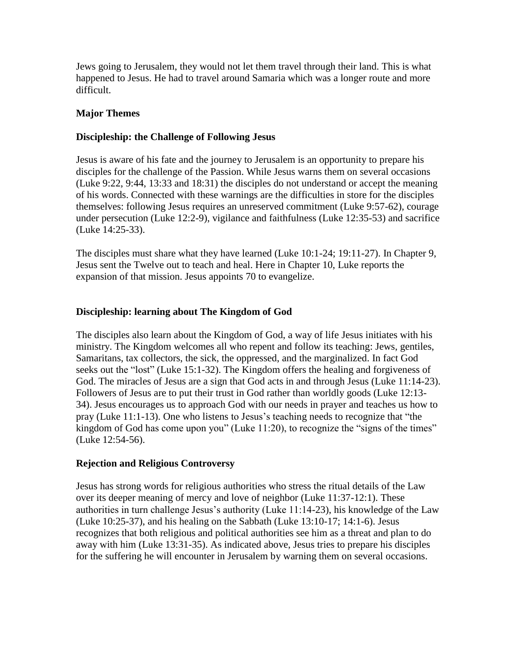Jews going to Jerusalem, they would not let them travel through their land. This is what happened to Jesus. He had to travel around Samaria which was a longer route and more difficult.

# **Major Themes**

### **Discipleship: the Challenge of Following Jesus**

Jesus is aware of his fate and the journey to Jerusalem is an opportunity to prepare his disciples for the challenge of the Passion. While Jesus warns them on several occasions (Luke 9:22, 9:44, 13:33 and 18:31) the disciples do not understand or accept the meaning of his words. Connected with these warnings are the difficulties in store for the disciples themselves: following Jesus requires an unreserved commitment (Luke 9:57-62), courage under persecution (Luke 12:2-9), vigilance and faithfulness (Luke 12:35-53) and sacrifice (Luke 14:25-33).

The disciples must share what they have learned (Luke 10:1-24; 19:11-27). In Chapter 9, Jesus sent the Twelve out to teach and heal. Here in Chapter 10, Luke reports the expansion of that mission. Jesus appoints 70 to evangelize.

#### **Discipleship: learning about The Kingdom of God**

The disciples also learn about the Kingdom of God, a way of life Jesus initiates with his ministry. The Kingdom welcomes all who repent and follow its teaching: Jews, gentiles, Samaritans, tax collectors, the sick, the oppressed, and the marginalized. In fact God seeks out the "lost" (Luke 15:1-32). The Kingdom offers the healing and forgiveness of God. The miracles of Jesus are a sign that God acts in and through Jesus (Luke 11:14-23). Followers of Jesus are to put their trust in God rather than worldly goods (Luke 12:13- 34). Jesus encourages us to approach God with our needs in prayer and teaches us how to pray (Luke 11:1-13). One who listens to Jesus's teaching needs to recognize that "the kingdom of God has come upon you" (Luke 11:20), to recognize the "signs of the times" (Luke 12:54-56).

#### **Rejection and Religious Controversy**

Jesus has strong words for religious authorities who stress the ritual details of the Law over its deeper meaning of mercy and love of neighbor (Luke 11:37-12:1). These authorities in turn challenge Jesus's authority (Luke 11:14-23), his knowledge of the Law (Luke 10:25-37), and his healing on the Sabbath (Luke 13:10-17; 14:1-6). Jesus recognizes that both religious and political authorities see him as a threat and plan to do away with him (Luke 13:31-35). As indicated above, Jesus tries to prepare his disciples for the suffering he will encounter in Jerusalem by warning them on several occasions.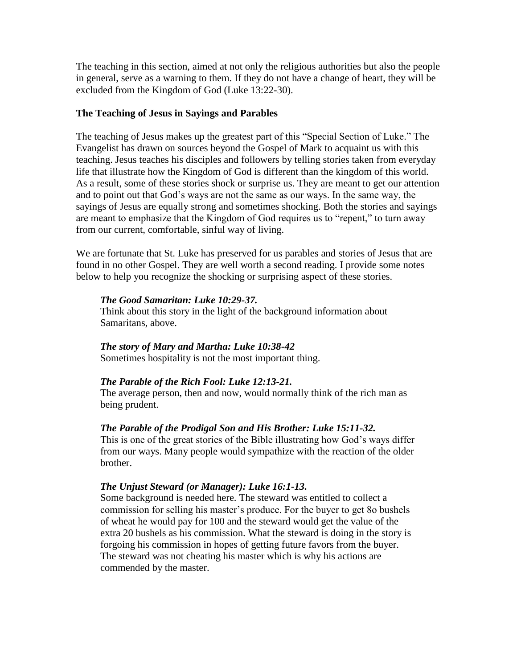The teaching in this section, aimed at not only the religious authorities but also the people in general, serve as a warning to them. If they do not have a change of heart, they will be excluded from the Kingdom of God (Luke 13:22-30).

#### **The Teaching of Jesus in Sayings and Parables**

The teaching of Jesus makes up the greatest part of this "Special Section of Luke." The Evangelist has drawn on sources beyond the Gospel of Mark to acquaint us with this teaching. Jesus teaches his disciples and followers by telling stories taken from everyday life that illustrate how the Kingdom of God is different than the kingdom of this world. As a result, some of these stories shock or surprise us. They are meant to get our attention and to point out that God's ways are not the same as our ways. In the same way, the sayings of Jesus are equally strong and sometimes shocking. Both the stories and sayings are meant to emphasize that the Kingdom of God requires us to "repent," to turn away from our current, comfortable, sinful way of living.

We are fortunate that St. Luke has preserved for us parables and stories of Jesus that are found in no other Gospel. They are well worth a second reading. I provide some notes below to help you recognize the shocking or surprising aspect of these stories.

#### *The Good Samaritan: Luke 10:29-37.*

Think about this story in the light of the background information about Samaritans, above.

# *The story of Mary and Martha: Luke 10:38-42*

Sometimes hospitality is not the most important thing.

# *The Parable of the Rich Fool: Luke 12:13-21.*

The average person, then and now, would normally think of the rich man as being prudent.

# *The Parable of the Prodigal Son and His Brother: Luke 15:11-32.*

This is one of the great stories of the Bible illustrating how God's ways differ from our ways. Many people would sympathize with the reaction of the older brother.

# *The Unjust Steward (or Manager): Luke 16:1-13.*

Some background is needed here. The steward was entitled to collect a commission for selling his master's produce. For the buyer to get 8o bushels of wheat he would pay for 100 and the steward would get the value of the extra 20 bushels as his commission. What the steward is doing in the story is forgoing his commission in hopes of getting future favors from the buyer. The steward was not cheating his master which is why his actions are commended by the master.